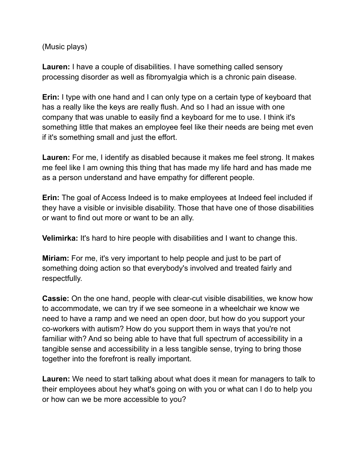(Music plays)

**Lauren:** I have a couple of disabilities. I have something called sensory processing disorder as well as fibromyalgia which is a chronic pain disease.

**Erin:** I type with one hand and I can only type on a certain type of keyboard that has a really like the keys are really flush. And so I had an issue with one company that was unable to easily find a keyboard for me to use. I think it's something little that makes an employee feel like their needs are being met even if it's something small and just the effort.

**Lauren:** For me, I identify as disabled because it makes me feel strong. It makes me feel like I am owning this thing that has made my life hard and has made me as a person understand and have empathy for different people.

**Erin:** The goal of Access Indeed is to make employees at Indeed feel included if they have a visible or invisible disability. Those that have one of those disabilities or want to find out more or want to be an ally.

**Velimirka:** It's hard to hire people with disabilities and I want to change this.

**Miriam:** For me, it's very important to help people and just to be part of something doing action so that everybody's involved and treated fairly and respectfully.

**Cassie:** On the one hand, people with clear-cut visible disabilities, we know how to accommodate, we can try if we see someone in a wheelchair we know we need to have a ramp and we need an open door, but how do you support your co-workers with autism? How do you support them in ways that you're not familiar with? And so being able to have that full spectrum of accessibility in a tangible sense and accessibility in a less tangible sense, trying to bring those together into the forefront is really important.

**Lauren:** We need to start talking about what does it mean for managers to talk to their employees about hey what's going on with you or what can I do to help you or how can we be more accessible to you?